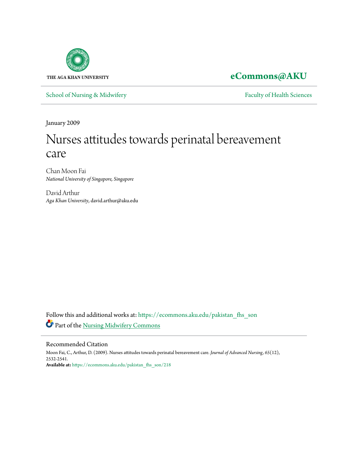

**[eCommons@AKU](https://ecommons.aku.edu?utm_source=ecommons.aku.edu%2Fpakistan_fhs_son%2F218&utm_medium=PDF&utm_campaign=PDFCoverPages)**

[School of Nursing & Midwifery](https://ecommons.aku.edu/pakistan_fhs_son?utm_source=ecommons.aku.edu%2Fpakistan_fhs_son%2F218&utm_medium=PDF&utm_campaign=PDFCoverPages) [Faculty of Health Sciences](https://ecommons.aku.edu/pakistan_fhs?utm_source=ecommons.aku.edu%2Fpakistan_fhs_son%2F218&utm_medium=PDF&utm_campaign=PDFCoverPages)

January 2009

# Nurses attitudes towards perinatal bereavement care

Chan Moon Fai *National University of Singapore, Singapore*

David Arthur *Aga Khan University*, david.arthur@aku.edu

Follow this and additional works at: [https://ecommons.aku.edu/pakistan\\_fhs\\_son](https://ecommons.aku.edu/pakistan_fhs_son?utm_source=ecommons.aku.edu%2Fpakistan_fhs_son%2F218&utm_medium=PDF&utm_campaign=PDFCoverPages) Part of the [Nursing Midwifery Commons](http://network.bepress.com/hgg/discipline/722?utm_source=ecommons.aku.edu%2Fpakistan_fhs_son%2F218&utm_medium=PDF&utm_campaign=PDFCoverPages)

# Recommended Citation

Moon Fai, C., Arthur, D. (2009). Nurses attitudes towards perinatal bereavement care. *Journal of Advanced Nursing, 65*(12), 2532-2541. **Available at:** [https://ecommons.aku.edu/pakistan\\_fhs\\_son/218](https://ecommons.aku.edu/pakistan_fhs_son/218)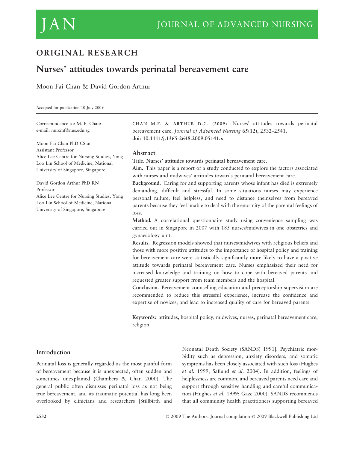# ORIGINAL RESEARCH

# Nurses' attitudes towards perinatal bereavement care

Moon Fai Chan & David Gordon Arthur

Accepted for publication 10 July 2009

Correspondence to: M. F. Chan: e-mail: nurcmf@nus.edu.sg

Moon Fai Chan PhD CStat Assistant Professor Alice Lee Centre for Nursing Studies, Yong Loo Lin School of Medicine, National University of Singapore, Singapore

David Gordon Arthur PhD RN Professor Alice Lee Centre for Nursing Studies, Yong Loo Lin School of Medicine, National University of Singapore, Singapore

CHAN M.F. & ARTHUR D.G. (2009) Nurses' attitudes towards perinatal bereavement care. Journal of Advanced Nursing 65(12), 2532–2541. doi: 10.1111/j.1365-2648.2009.05141.x

## Abstract

#### Title. Nurses' attitudes towards perinatal bereavement care.

Aim. This paper is a report of a study conducted to explore the factors associated with nurses and midwives' attitudes towards perinatal bereavement care.

Background. Caring for and supporting parents whose infant has died is extremely demanding, difficult and stressful. In some situations nurses may experience personal failure, feel helpless, and need to distance themselves from bereaved parents because they feel unable to deal with the enormity of the parental feelings of loss.

Method. A correlational questionnaire study using convenience sampling was carried out in Singapore in 2007 with 185 nurses/midwives in one obstetrics and gynaecology unit.

Results. Regression models showed that nurses/midwives with religious beliefs and those with more positive attitudes to the importance of hospital policy and training for bereavement care were statistically significantly more likely to have a positive attitude towards perinatal bereavement care. Nurses emphasized their need for increased knowledge and training on how to cope with bereaved parents and requested greater support from team members and the hospital.

Conclusion. Bereavement counselling education and preceptorship supervision are recommended to reduce this stressful experience, increase the confidence and expertise of novices, and lead to increased quality of care for bereaved parents.

Keywords: attitudes, hospital policy, midwives, nurses, perinatal bereavement care, religion

# Introduction

Perinatal loss is generally regarded as the most painful form of bereavement because it is unexpected, often sudden and sometimes unexplained (Chambers & Chan 2000). The general public often dismisses perinatal loss as not being true bereavement, and its traumatic potential has long been overlooked by clinicians and researchers [Stillbirth and

Neonatal Death Society (SANDS) 1991]. Psychiatric morbidity such as depression, anxiety disorders, and somatic symptoms has been closely associated with such loss (Hughes et al. 1999; Säflund et al. 2004). In addition, feelings of helplessness are common, and bereaved parents need care and support through sensitive handling and careful communication (Hughes et al. 1999; Gaze 2000). SANDS recommends that all community health practitioners supporting bereaved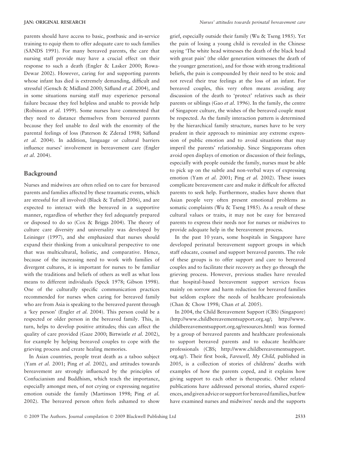parents should have access to basic, postbasic and in-service training to equip them to offer adequate care to such families (SANDS 1991). For many bereaved parents, the care that nursing staff provide may have a crucial effect on their response to such a death (Engler & Lasker 2000; Rowa-Dewar 2002). However, caring for and supporting parents whose infant has died is extremely demanding, difficult and stressful (Gensch & Midland 2000; Säflund et al. 2004), and in some situations nursing staff may experience personal failure because they feel helpless and unable to provide help (Robinson et al. 1999). Some nurses have commented that they need to distance themselves from bereaved parents because they feel unable to deal with the enormity of the parental feelings of loss (Paterson & Zderad 1988; Säflund et al. 2004). In addition, language or cultural barriers influence nurses' involvement in bereavement care (Engler et al. 2004).

#### Background

Nurses and midwives are often relied on to care for bereaved parents and families affected by these traumatic events, which are stressful for all involved (Black & Tufnell 2006), and are expected to interact with the bereaved in a supportive manner, regardless of whether they feel adequately prepared or disposed to do so (Cox & Briggs 2004). The theory of culture care diversity and universality was developed by Leininger (1997), and she emphasized that nurses should expand their thinking from a unicultural perspective to one that was multicultural, holistic, and comparative. Hence, because of the increasing need to work with families of divergent cultures, it is important for nurses to be familiar with the traditions and beliefs of others as well as what loss means to different individuals (Speck 1978; Gibson 1998). One of the culturally specific communication practices recommended for nurses when caring for bereaved family who are from Asia is speaking to the bereaved parent through a 'key person' (Engler et al. 2004). This person could be a respected or older person in the bereaved family. This, in turn, helps to develop positive attitudes; this can affect the quality of care provided (Gaze 2000; Birtwistle et al. 2002), for example by helping bereaved couples to cope with the grieving process and create healing memories.

In Asian countries, people treat death as a taboo subject (Yam et al. 2001; Ping et al. 2002), and attitudes towards bereavement are strongly influenced by the principles of Confucianism and Buddhism, which teach the importance, especially amongst men, of not crying or expressing negative emotion outside the family (Martinson 1998; Ping et al. 2002). The bereaved person often feels ashamed to show

grief, especially outside their family (Wu & Tseng 1985). Yet the pain of losing a young child is revealed in the Chinese saying 'The white head witnesses the death of the black head with great pain' (the older generation witnesses the death of the younger generation), and for those with strong traditional beliefs, the pain is compounded by their need to be stoic and not reveal their true feelings at the loss of an infant. For bereaved couples, this very often means avoiding any discussion of the death to 'protect' relatives such as their parents or siblings (Gao et al. 1996). In the family, the centre of Singapore culture, the wishes of the bereaved couple must be respected. As the family interaction pattern is determined by the hierarchical family structure, nurses have to be very prudent in their approach to minimize any extreme expression of public emotion and to avoid situations that may imperil the parents' relationship. Since Singaporeans often avoid open displays of emotion or discussion of their feelings, especially with people outside the family, nurses must be able to pick up on the subtle and non-verbal ways of expressing emotion (Yam et al. 2001; Ping et al. 2002). These issues complicate bereavement care and make it difficult for affected parents to seek help. Furthermore, studies have shown that Asian people very often present emotional problems as somatic complaints (Wu & Tseng 1985). As a result of these cultural values or traits, it may not be easy for bereaved parents to express their needs nor for nurses or midwives to provide adequate help in the bereavement process.

In the past 10 years, some hospitals in Singapore have developed perinatal bereavement support groups in which staff educate, counsel and support bereaved parents. The role of these groups is to offer support and care to bereaved couples and to facilitate their recovery as they go through the grieving process. However, previous studies have revealed that hospital-based bereavement support services focus mainly on sorrow and harm reduction for bereaved families but seldom explore the needs of healthcare professionals (Chan & Chow 1998; Chan et al. 2005).

In 2004, the Child Bereavement Support (CBS) (Singapore) (http://www.childbereavementsupport.org.sg/; http://www. childbereavementsupport.org.sg/resources.html) was formed by a group of bereaved parents and healthcare professionals to support bereaved parents and to educate healthcare professionals (CBS; http://www.childbereavementsupport. org.sg/). Their first book, Farewell, My Child, published in 2005, is a collection of stories of childrens' deaths with examples of how the parents coped, and it explains how giving support to each other is therapeutic. Other related publications have addressed personal stories, shared experiences, and given advice or support for bereaved families, but few have examined nurses and midwives' needs and the supports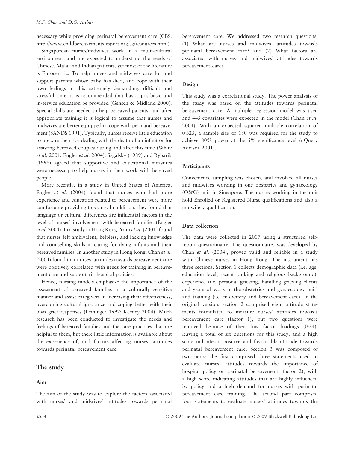necessary while providing perinatal bereavement care (CBS; http://www.childbereavementsupport.org.sg/resources.html).

Singaporean nurses/midwives work in a multi-cultural environment and are expected to understand the needs of Chinese, Malay and Indian patients, yet most of the literature is Eurocentric. To help nurses and midwives care for and support parents whose baby has died, and cope with their own feelings in this extremely demanding, difficult and stressful time, it is recommended that basic, postbasic and in-service education be provided (Gensch & Midland 2000). Special skills are needed to help bereaved parents, and after appropriate training it is logical to assume that nurses and midwives are better equipped to cope with perinatal bereavement (SANDS 1991). Typically, nurses receive little education to prepare them for dealing with the death of an infant or for assisting bereaved couples during and after this time (White et al. 2001; Engler et al. 2004). Szgalsky (1989) and Rybarik (1996) agreed that supportive and educational measures were necessary to help nurses in their work with bereaved people.

More recently, in a study in United States of America, Engler et al. (2004) found that nurses who had more experience and education related to bereavement were more comfortable providing this care. In addition, they found that language or cultural differences are influential factors in the level of nurses' involvement with bereaved families (Engler et al. 2004). In a study in Hong Kong, Yam et al. (2001) found that nurses felt ambivalent, helpless, and lacking knowledge and counselling skills in caring for dying infants and their bereaved families. In another study in Hong Kong, Chan et al. (2004) found that nurses' attitudes towards bereavement care were positively correlated with needs for training in bereavement care and support via hospital policies.

Hence, nursing models emphasize the importance of the assessment of bereaved families in a culturally sensitive manner and assist caregivers in increasing their effectiveness, overcoming cultural ignorance and coping better with their own grief responses (Leininger 1997; Keeney 2004). Much research has been conducted to investigate the needs and feelings of bereaved families and the care practices that are helpful to them, but there little information is available about the experience of, and factors affecting nurses' attitudes towards perinatal bereavement care.

#### The study

#### Aim

bereavement care. We addressed two research questions: (1) What are nurses and midwives' attitudes towards perinatal bereavement care? and (2) What factors are associated with nurses and midwives' attitudes towards bereavement care?

#### Design

This study was a correlational study. The power analysis of the study was based on the attitudes towards perinatal bereavement care. A multiple regression model was used and 4–5 covariates were expected in the model (Chan et al. 2004). With an expected squared multiple correlation of  $0.325$ , a sample size of 180 was required for the study to achieve 80% power at the 5% significance level (nQuery Advisor 2001).

#### Participants

Convenience sampling was chosen, and involved all nurses and midwives working in one obstetrics and gynaecology (O&G) unit in Singapore. The nurses working in the unit hold Enrolled or Registered Nurse qualifications and also a midwifery qualification.

#### Data collection

The data were collected in 2007 using a structured selfreport questionnaire. The questionnaire, was developed by Chan et al. (2004), proved valid and reliable in a study with Chinese nurses in Hong Kong. The instrument has three sections. Section 1 collects demographic data (i.e. age, education level, recent ranking and religious background), experience (i.e. personal grieving, handling grieving clients and years of work in the obstetrics and gynaecology unit) and training (i.e. midwifery and bereavement care). In the original version, section 2 comprised eight attitude statements formulated to measure nurses' attitudes towards bereavement care (factor 1), but two questions were removed because of their low factor loadings  $(0.24)$ , leaving a total of six questions for this study, and a high score indicates a positive and favourable attitude towards perinatal bereavement care. Section 3 was composed of two parts; the first comprised three statements used to evaluate nurses' attitudes towards the importance of hospital policy on perinatal bereavement (factor 2), with a high score indicating attitudes that are highly influenced by policy and a high demand for nurses with perinatal bereavement care training. The second part comprised four statements to evaluate nurses' attitudes towards the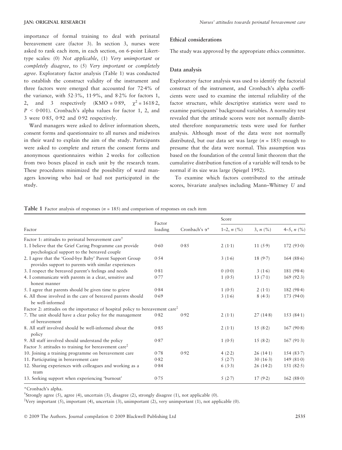importance of formal training to deal with perinatal bereavement care (factor 3). In section 3, nurses were asked to rank each item, in each section, on 6-point Likerttype scales: (0) Not applicable, (1) Very unimportant or completely disagree, to (5) Very important or completely agree. Exploratory factor analysis (Table 1) was conducted to establish the construct validity of the instrument and three factors were emerged that accounted for  $72.4\%$  of the variance, with  $52.3\%$ ,  $11.9\%$ , and  $8.2\%$  for factors 1, 2, and 3 respectively (KMO = 0.89,  $\chi^2 = 1618.2$ ,  $P \le 0.001$ ). Cronbach's alpha values for factor 1, 2, and 3 were  $0.85$ ,  $0.92$  and  $0.92$  respectively.

Ward managers were asked to deliver information sheets, consent forms and questionnaire to all nurses and midwives in their ward to explain the aim of the study. Participants were asked to complete and return the consent forms and anonymous questionnaires within 2 weeks for collection from two boxes placed in each unit by the research team. These procedures minimized the possibility of ward managers knowing who had or had not participated in the study.

#### Ethical considerations

The study was approved by the appropriate ethics committee.

#### Data analysis

Exploratory factor analysis was used to identify the factorial construct of the instrument, and Cronbach's alpha coefficients were used to examine the internal reliability of the factor structure, while descriptive statistics were used to examine participants' background variables. A normality test revealed that the attitude scores were not normally distributed therefore nonparametric tests were used for further analysis. Although most of the data were not normally distributed, but our data set was large ( $n = 185$ ) enough to presume that the data were normal. This assumption was based on the foundation of the central limit theorem that the cumulative distribution function of a variable will tends to be normal if its size was large (Spiegel 1992).

To examine which factors contributed to the attitude scores, bivariate analyses including Mann–Whitney U and

#### **Table 1** Factor analysis of responses ( $n = 185$ ) and comparison of responses on each item

| Factor                                                                                                           | Factor<br>loading | Cronbach's $\alpha^*$ | Score        |             |              |
|------------------------------------------------------------------------------------------------------------------|-------------------|-----------------------|--------------|-------------|--------------|
|                                                                                                                  |                   |                       | 1–2, $n$ (%) | $3, n\ (%)$ | 4–5, $n$ (%) |
| Factor 1: attitudes to perinatal bereavement care <sup>†</sup>                                                   |                   |                       |              |             |              |
| 1. I believe that the Grief Caring Programme can provide<br>psychological support to the bereaved couple         | 0.60              | 0.85                  | 2(1.1)       | 11(5.9)     | 172(930)     |
| 2. I agree that the 'Good-bye Baby' Parent Support Group<br>provides support to parents with similar experiences | 0.54              |                       | 3(1.6)       | 18(9.7)     | 164(88.6)    |
| 3. I respect the bereaved parent's feelings and needs                                                            | 0.81              |                       | 0(0.0)       | 3(1.6)      | 181(98.4)    |
| 4. I communicate with parents in a clear, sensitive and<br>honest manner                                         | 0.77              |                       | 1(0.5)       | 13(7.1)     | 169(92.3)    |
| 5. I agree that parents should be given time to grieve                                                           | 0.84              |                       | 1(0.5)       | $2(1-1)$    | 182(98.4)    |
| 6. All those involved in the care of bereaved parents should<br>be well-informed                                 | 0.69              |                       | 3(1.6)       | 8(4.3)      | 173(940)     |
| Factor 2: attitudes on the importance of hospital policy to bereavement care <sup><math>\ddagger</math></sup>    |                   |                       |              |             |              |
| 7. The unit should have a clear policy for the management<br>of bereavement                                      | 0.82              | 0.92                  | 2(1.1)       | 27(14.8)    | 153(84.1)    |
| 8. All staff involved should be well-informed about the<br>policy                                                | 0.85              |                       | 2(1.1)       | 15(8.2)     | 167(90.8)    |
| 9. All staff involved should understand the policy                                                               | 0.87              |                       | 1(0.5)       | 15(8.2)     | 167(91.3)    |
| Factor 3: attitudes to training for bereavement care <sup>‡</sup>                                                |                   |                       |              |             |              |
| 10. Joining a training programme on bereavement care                                                             | 0.78              | 0.92                  | 4 $(2.2)$    | 26(14.1)    | 154(83.7)    |
| 11. Participating in bereavement care                                                                            | 0.82              |                       | 5(2.7)       | 30(16.3)    | 149 $(810)$  |
| 12. Sharing experiences with colleagues and working as a<br>team                                                 | 0.84              |                       | 6 $(3.3)$    | 26(14.2)    | 151(82.5)    |
| 13. Seeking support when experiencing 'burnout'                                                                  | 0.75              |                       | 5(2.7)       | 17(9.2)     | 162(880)     |

\*Cronbach's alpha.

<sup>†</sup>Strongly agree (5), agree (4), uncertain (3), disagree (2), strongly disagree (1), not applicable (0).

<sup>‡</sup>Very important (5), important (4), uncertain (3), unimportant (2), very unimportant (1), not applicable (0).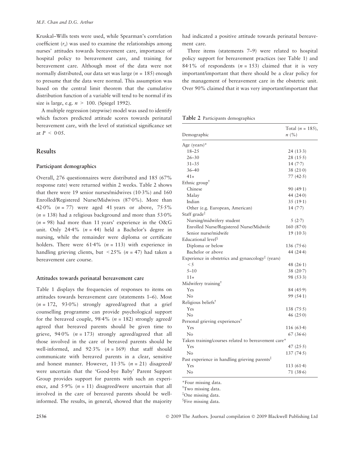Kruskal–Wills tests were used, while Spearman's correlation coefficient  $(r<sub>s</sub>)$  was used to examine the relationships among nurses' attitudes towards bereavement care, importance of hospital policy to bereavement care, and training for bereavement care. Although most of the data were not normally distributed, our data set was large ( $n = 185$ ) enough to presume that the data were normal. This assumption was based on the central limit theorem that the cumulative distribution function of a variable will tend to be normal if its size is large, e.g.  $n > 100$ . (Spiegel 1992).

A multiple regression (stepwise) model was used to identify which factors predicted attitude scores towards perinatal bereavement care, with the level of statistical significance set at  $P < 0.05$ .

#### Results

#### Participant demographics

Overall, 276 questionnaires were distributed and 185 (67% response rate) were returned within 2 weeks. Table 2 shows that there were 19 senior nurses/midwives  $(10.3\%)$  and  $160$ Enrolled/Registered Nurse/Midwives (87.0%). More than 42.0% ( $n = 77$ ) were aged 41 years or above,  $75.5\%$ ( $n = 138$ ) had a religious background and more than 53.0%  $(n = 98)$  had more than 11 years' experience in the O&G unit. Only 24.4% ( $n = 44$ ) held a Bachelor's degree in nursing, while the remainder were diploma or certificate holders. There were  $61.4\%$  ( $n = 113$ ) with experience in handling grieving clients, but  $\lt 25\%$  (*n* = 47) had taken a bereavement care course.

#### Attitudes towards perinatal bereavement care

Table 1 displays the frequencies of responses to items on attitudes towards bereavement care (statements 1–6). Most  $(n = 172, 93.0\%)$  strongly agreed/agreed that a grief counselling programme can provide psychological support for the bereaved couple,  $98.4\%$  ( $n = 182$ ) strongly agreed/ agreed that bereaved parents should be given time to grieve,  $94.0\%$  ( $n = 173$ ) strongly agreed/agreed that all those involved in the care of bereaved parents should be well-informed, and  $92.3\%$  ( $n = 169$ ) that staff should communicate with bereaved parents in a clear, sensitive and honest manner. However,  $11.3\%$  ( $n = 21$ ) disagreed/ were uncertain that the 'Good-bye Baby' Parent Support Group provides support for parents with such an experience, and  $5.9\%$  ( $n = 11$ ) disagreed/were uncertain that all involved in the care of bereaved parents should be wellinformed. The results, in general, showed that the majority had indicated a positive attitude towards perinatal bereavement care.

Three items (statements 7–9) were related to hospital policy support for bereavement practices (see Table 1) and 84.1% of respondents  $(n = 153)$  claimed that it is very important/important that there should be a clear policy for the management of bereavement care in the obstetric unit. Over 90% claimed that it was very important/important that

|  |  | Table 2 Participants demographics |
|--|--|-----------------------------------|
|--|--|-----------------------------------|

|                                                               | Total ( $n = 185$ ), |
|---------------------------------------------------------------|----------------------|
| Demographic                                                   | n (%)                |
| Age (years) $*$                                               |                      |
| $18 - 25$                                                     | 24(13.3)             |
| $26 - 30$                                                     | 28(15.5)             |
| $31 - 35$                                                     | 14 $(7.7)$           |
| $36 - 40$                                                     | 38 $(21.0)$          |
| $41+$                                                         | 77 $(42.5)$          |
| Ethnic group <sup>†</sup>                                     |                      |
| Chinese                                                       | 90(49.1)             |
| Malay                                                         | 44 $(24.0)$          |
| Indian                                                        | 35(19.1)             |
| Other (e.g. European, American)                               | 14 $(7.7)$           |
| Staff grade <sup><math>\ddagger</math></sup>                  |                      |
| Nursing/midwifery student                                     | 5(2.7)               |
| Enrolled Nurse/Registered Nurse/Midwife                       | 160(870)             |
| Senior nurse/midwife                                          | 19(10.3)             |
| Educational level <sup>§</sup>                                |                      |
| Diploma or below                                              | 136(75.6)            |
| Bachelor or above                                             | 44 $(24.4)$          |
| Experience in obstetrics and gynaecology <sup>‡</sup> (years) |                      |
| < 5                                                           | 48 $(26.1)$          |
| $5 - 10$                                                      | 38(20.7)             |
| $11+$                                                         | 98(53.3)             |
| Midwifery training <sup>†</sup>                               |                      |
| Yes                                                           | 84(45.9)             |
| No                                                            | 99(54.1)             |
| Religious beliefs <sup>†</sup>                                |                      |
| Yes                                                           | 138(75.5)            |
| No                                                            | 46 $(25.0)$          |
| Personal grieving experiences <sup>†</sup>                    |                      |
| Yes                                                           | 116 $(63.4)$         |
| No                                                            | 67(36.6)             |
| Taken training/courses related to bereavement care*           |                      |
| Yes                                                           | 47 $(25.5)$          |
| $\rm No$                                                      | 137(74.5)            |
| Past experience in handling grieving parents <sup>1</sup>     |                      |
| Yes                                                           | $113(61-4)$          |
| No                                                            | 71 $(38.6)$          |

\*Four missing data.

- Two missing data.

One missing data.

§ Five missing data.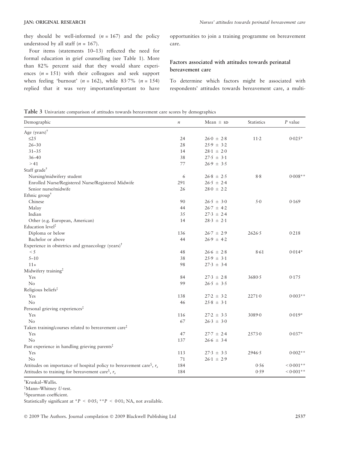they should be well-informed  $(n = 167)$  and the policy understood by all staff  $(n = 167)$ .

Four items (statements 10–13) reflected the need for formal education in grief counselling (see Table 1). More than 82% percent said that they would share experiences  $(n = 151)$  with their colleagues and seek support when feeling 'burnout'  $(n = 162)$ , while 83.7%  $(n = 154)$ replied that it was very important/important to have opportunities to join a training programme on bereavement care.

# Factors associated with attitudes towards perinatal bereavement care

To determine which factors might be associated with respondents' attitudes towards bereavement care, a multi-

Table 3 Univariate comparison of attitudes towards bereavement care scores by demographics

| Demographic                                                                         | $\boldsymbol{n}$ | Mean $\pm$ sp  | Statistics | P value      |
|-------------------------------------------------------------------------------------|------------------|----------------|------------|--------------|
| Age (years) <sup>†</sup>                                                            |                  |                |            |              |
| $\leq$ 25                                                                           | 24               | $26.0 \pm 2.8$ | $11-2$     | $0.025*$     |
| $26 - 30$                                                                           | 28               | $25.9 \pm 3.2$ |            |              |
| $31 - 35$                                                                           | 14               | $28.1 \pm 2.0$ |            |              |
| $36 - 40$                                                                           | 38               | $27.5 \pm 3.1$ |            |              |
| >41                                                                                 | 77               | $26.9 \pm 3.5$ |            |              |
| Staff grade <sup>†</sup>                                                            |                  |                |            |              |
| Nursing/midwifery student                                                           | 6                | $26.8 \pm 2.5$ | 8.8        | $0.008**$    |
| Enrolled Nurse/Registered Nurse/Registered Midwife                                  | 291              | $26.5 \pm 2.4$ |            |              |
| Senior nurse/midwife                                                                | 26               | $28.0 \pm 2.2$ |            |              |
| Ethnic group <sup>†</sup>                                                           |                  |                |            |              |
| Chinese                                                                             | 90               | $26.5 \pm 3.0$ | 5.0        | 0.169        |
| Malay                                                                               | 44               | $26.7 \pm 4.2$ |            |              |
| Indian                                                                              | 35               | $27.3 \pm 2.4$ |            |              |
| Other (e.g. European, American)                                                     | 14               | $28.3 \pm 2.1$ |            |              |
| Education level <sup>#</sup>                                                        |                  |                |            |              |
| Diploma or below                                                                    | 136              | $26.7 \pm 2.9$ | 2626.5     | 0.218        |
| Bachelor or above                                                                   | 44               | $26.9 \pm 4.2$ |            |              |
| Experience in obstetrics and gynaecology (years) <sup>†</sup>                       |                  |                |            |              |
| < 5                                                                                 | 48               | $26.6 \pm 2.8$ | 8.61       | $0.014*$     |
| $5 - 10$                                                                            | 38               | $25.9 \pm 3.1$ |            |              |
| $11+$                                                                               | 98               | $27.3 \pm 3.4$ |            |              |
| Midwifery training <sup>#</sup>                                                     |                  |                |            |              |
| Yes                                                                                 | 84               | $27.3 \pm 2.8$ | 3680.5     | 0.175        |
| No                                                                                  | 99               | $26.5 \pm 3.5$ |            |              |
| Religious beliefs <sup>‡</sup>                                                      |                  |                |            |              |
| Yes                                                                                 | 138              | $27.2 \pm 3.2$ | $2271 - 0$ | $0.003**$    |
| No                                                                                  | 46               | $25.8 \pm 3.1$ |            |              |
| Personal grieving experiences <sup>‡</sup>                                          |                  |                |            |              |
| Yes                                                                                 | 116              | $27.2 \pm 3.3$ | $3089 - 0$ | $0.019*$     |
| N <sub>o</sub>                                                                      | 67               | $26.3 \pm 3.0$ |            |              |
| Taken training/courses related to bereavement care <sup>‡</sup>                     |                  |                |            |              |
| Yes                                                                                 | 47               | $27.7 \pm 2.4$ | $2573 - 0$ | $0.037*$     |
| No                                                                                  | 137              | $26.6 \pm 3.4$ |            |              |
| Past experience in handling grieving parents <sup>‡</sup>                           |                  |                |            |              |
| Yes                                                                                 | 113              | $27.3 \pm 3.3$ | 2946.5     | $0.002**$    |
| No                                                                                  | $71\,$           | $26.1 \pm 2.9$ |            |              |
| Attitudes on importance of hospital policy to bereavement care <sup>§</sup> , $r_s$ | 184              |                | 0.56       | ${}<0.001**$ |
| Attitudes to training for bereavement care <sup>§</sup> , $r_s$                     | 184              |                | 0.59       | $0.001**$    |

- Kruskal–Wallis.

Mann–Whitney U-test.

§ Spearman coefficient.

Statistically significant at \*P < 0.05; \*\*P < 0.01; NA, not available.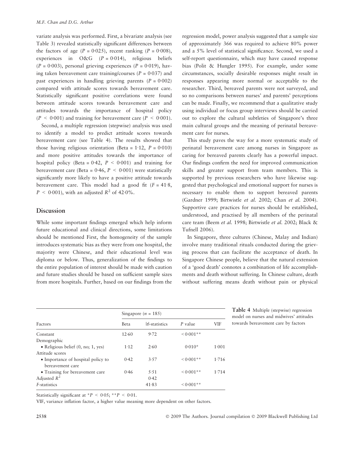variate analysis was performed. First, a bivariate analysis (see Table 3) revealed statistically significant differences between the factors of age  $(P = 0.025)$ , recent ranking  $(P = 0.008)$ , experiences in O&G  $(P = 0.014)$ , religious beliefs  $(P = 0.003)$ , personal grieving experiences  $(P = 0.019)$ , having taken bereavement care training/courses ( $P = 0.037$ ) and past experiences in handling grieving parents ( $P = 0.002$ ) compared with attitude scores towards bereavement care. Statistically significant positive correlations were found between attitude scores towards bereavement care and attitudes towards the importance of hospital policy  $(P < 0.001)$  and training for bereavement care  $(P < 0.001)$ .

Second, a multiple regression (stepwise) analysis was used to identify a model to predict attitude scores towards bereavement care (see Table 4). The results showed that those having religious orientation (Beta =  $1.12$ ,  $P = 0.010$ ) and more positive attitudes towards the importance of hospital policy (Beta =  $0.42$ ,  $P < 0.001$ ) and training for bereavement care (Beta =  $0.46$ ,  $P < 0.001$ ) were statistically significantly more likely to have a positive attitude towards bereavement care. This model had a good fit  $(F = 41.8$ ,  $P < 0.001$ ), with an adjusted  $R^2$  of 42.0%.

# **Discussion**

While some important findings emerged which help inform future educational and clinical directions, some limitations should be mentioned First, the homogeneity of the sample introduces systematic bias as they were from one hospital, the majority were Chinese, and their educational level was diploma or below. Thus, generalization of the findings to the entire population of interest should be made with caution and future studies should be based on sufficient sample sizes from more hospitals. Further, based on our findings from the regression model, power analysis suggested that a sample size of approximately 366 was required to achieve 80% power and a 5% level of statistical significance. Second, we used a self-report questionnaire, which may have caused response bias (Polit & Hungler 1995). For example, under some circumstances, socially desirable responses might result in responses appearing more normal or acceptable to the researcher. Third, bereaved parents were not surveyed, and so no comparisons between nurses' and parents' perceptions can be made. Finally, we recommend that a qualitative study using individual or focus group interviews should be carried out to explore the cultural subtleties of Singapore's three main cultural groups and the meaning of perinatal bereavement care for nurses.

This study paves the way for a more systematic study of perinatal bereavement care among nurses in Singapore as caring for bereaved parents clearly has a powerful impact. Our findings confirm the need for improved communication skills and greater support from team members. This is supported by previous researchers who have likewise suggested that psychological and emotional support for nurses is necessary to enable them to support bereaved parents (Gardner 1999; Birtwistle et al. 2002; Chan et al. 2004). Supportive care practices for nurses should be established, understood, and practised by all members of the perinatal care team (Beem et al. 1998; Birtwistle et al. 2002; Black & Tufnell 2006).

In Singapore, three cultures (Chinese, Malay and Indian) involve many traditional rituals conducted during the grieving process that can facilitate the acceptance of death. In Singapore Chinese people, believe that the natural extension of a 'good death' connotes a combination of life accomplishments and death without suffering. In Chinese culture, death without suffering means death without pain or physical

| Singapore ( $n = 185$ ) |                   |                 |       |  |
|-------------------------|-------------------|-----------------|-------|--|
| Beta                    | $ t $ -statistics | P value         | VIF   |  |
| 12.60                   | 9.72              | $< 0.001$ **    |       |  |
|                         |                   |                 |       |  |
| $1-12$                  | 2.60              | $0.010*$        | 1.001 |  |
|                         |                   |                 |       |  |
| 0.42                    | 3.57              | $\leq 0.001**$  | 1.716 |  |
|                         |                   |                 |       |  |
| 0.46                    | 5.51              | $\leq 0.001$ ** | 1.714 |  |
|                         | 0.42              |                 |       |  |
|                         | 41.83             | $\leq 0.001$ ** |       |  |
|                         |                   |                 |       |  |

Table 4 Multiple (stepwise) regression model on nurses and midwives' attitudes towards bereavement care by factors

Statistically significant at  $P < 0.05$ ;  $P < 0.01$ .

VIF, variance inflation factor, a higher value meaning more dependent on other factors.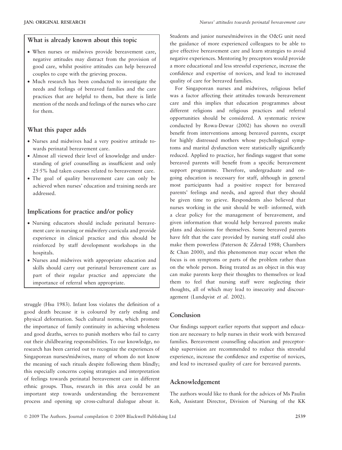#### What is already known about this topic

- When nurses or midwives provide bereavement care, negative attitudes may distract from the provision of good care, whilst positive attitudes can help bereaved couples to cope with the grieving process.
- Much research has been conducted to investigate the needs and feelings of bereaved families and the care practices that are helpful to them, but there is little mention of the needs and feelings of the nurses who care for them.

### What this paper adds

- Nurses and midwives had a very positive attitude towards perinatal bereavement care.
- Almost all viewed their level of knowledge and understanding of grief counselling as insufficient and only  $25.5%$  had taken courses related to bereavement care.
- The goal of quality bereavement care can only be achieved when nurses' education and training needs are addressed.

### Implications for practice and/or policy

- Nursing educators should include perinatal bereavement care in nursing or midwifery curricula and provide experience in clinical practice and this should be reinforced by staff development workshops in the hospitals.
- Nurses and midwives with appropriate education and skills should carry out perinatal bereavement care as part of their regular practice and appreciate the importance of referral when appropriate.

struggle (Hsu 1983). Infant loss violates the definition of a good death because it is coloured by early ending and physical deformation. Such cultural norms, which promote the importance of family continuity in achieving wholeness and good deaths, serves to punish mothers who fail to carry out their childbearing responsibilities. To our knowledge, no research has been carried out to recognize the experiences of Singaporean nurses/midwives, many of whom do not know the meaning of such rituals despite following them blindly; this especially concerns coping strategies and interpretation of feelings towards perinatal bereavement care in different ethnic groups. Thus, research in this area could be an important step towards understanding the bereavement process and opening up cross-cultural dialogue about it. Students and junior nurses/midwives in the O&G unit need the guidance of more experienced colleagues to be able to give effective bereavement care and learn strategies to avoid negative experiences. Mentoring by preceptors would provide a more educational and less stressful experience, increase the confidence and expertise of novices, and lead to increased quality of care for bereaved families.

For Singaporean nurses and midwives, religious belief was a factor affecting their attitudes towards bereavement care and this implies that education programmes about different religions and religious practices and referral opportunities should be considered. A systematic review conducted by Rowa-Dewar (2002) has shown no overall benefit from interventions among bereaved parents, except for highly distressed mothers whose psychological symptoms and marital dysfunction were statistically significantly reduced. Applied to practice, her findings suggest that some bereaved parents will benefit from a specific bereavement support programme. Therefore, undergraduate and ongoing education is necessary for staff, although in general most participants had a positive respect for bereaved parents' feelings and needs, and agreed that they should be given time to grieve. Respondents also believed that nurses working in the unit should be well- informed, with a clear policy for the management of bereavement, and given information that would help bereaved parents make plans and decisions for themselves. Some bereaved parents have felt that the care provided by nursing staff could also make them powerless (Paterson & Zderad 1988; Chambers & Chan 2000), and this phenomenon may occur when the focus is on symptoms or parts of the problem rather than on the whole person. Being treated as an object in this way can make parents keep their thoughts to themselves or lead them to feel that nursing staff were neglecting their thoughts, all of which may lead to insecurity and discouragement (Lundqvist et al. 2002).

# Conclusion

Our findings support earlier reports that support and education are necessary to help nurses in their work with bereaved families. Bereavement counselling education and preceptorship supervision are recommended to reduce this stressful experience, increase the confidence and expertise of novices, and lead to increased quality of care for bereaved parents.

#### Acknowledgement

The authors would like to thank for the advices of Ms Paulin Koh, Assistant Director, Division of Nursing of the KK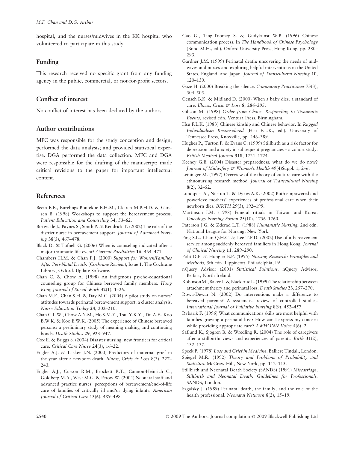hospital, and the nurses/midwives in the KK hospital who volunteered to participate in this study.

# Funding

This research received no specific grant from any funding agency in the public, commercial, or not-for-profit sectors.

# Conflict of interest

No conflict of interest has been declared by the authors.

# Author contributions

MFC was responsible for the study conception and design; performed the data analysis; and provided statistical expertise. DGA performed the data collection. MFC and DGA were responsible for the drafting of the manuscript; made critical revisions to the paper for important intellectual content.

# References

- Beem E.E., Eurelings-Bontekoe E.H.M., Cleiren M.P.H.D. & Garssen B. (1998) Workshops to support the bereavement process. Patient Education and Counseling 34, 53–62.
- Birtwistle J., Paynes S., Smith P. & Kendrick T. (2002) The role of the district nurse in bereavement support. Journal of Advanced Nursing 38(5), 467–478.
- Black D. & Tufnell G. (2006) When is counseling indicated after a major traumatic life event? Current Paediatrics 16, 464–471.
- Chambers H.M. & Chan F.J. (2000) Support for Women/Families After Peri-Natal Death. (Cochrane Review), Issue 1. The Cochrane Library, Oxford. Update Software.
- Chan C. & Chow A. (1998) An indigenous psycho-educational counseling group for Chinese bereaved family members. Hong Kong Journal of Social Work 32(1), 1–26.
- Chan M.F., Chan S.H. & Day M.C. (2004) A pilot study on nurses' attitudes towards perinatal bereavement support: a cluster analysis. Nurse Education Today 24, 202–210.
- Chan C.L.W., Chow A.Y.M., Ho S.M.Y., Tsui Y.K.Y., Tin A.F., Koo B.W.K. & Koo E.W.K. (2005) The experience of Chinese bereaved persons: a preliminary study of meaning making and continuing bonds. Death Studies 29, 923–947.
- Cox E. & Briggs S. (2004) Disaster nursing: new frontiers for critical care. Critical Care Nurse 24(3), 16–22.
- Engler A.J. & Lasker J.N. (2000) Predictors of maternal grief in the year after a newborn death. Illness, Crisis & Loss 8(3), 227– 243.
- Engler A.J., Cusson R.M., Brockett R.T., Cannon-Heinrich C., Goldberg M.A., West M.G. & Petow W. (2004) Neonatal staff and advanced practice nurses' perceptions of bereavement/end-of-life care of families of critically ill and/or dying infants. American Journal of Critical Care 13(6), 489–498.
- Gao G., Ting-Toomey S. & Gudykunst W.B. (1996) Chinese communication process. In The Handbook of Chinese Psychology (Bond M.H., ed.), Oxford University Press, Hong Kong, pp. 280– 293.
- Gardner J.M. (1999) Perinatal death: uncovering the needs of midwives and nurses and exploring helpful interventions in the United States, England, and Japan. Journal of Transcultural Nursing 10, 120–130.
- Gaze H. (2000) Breaking the silence. Community Practitioner 73(3), 504–505.
- Gensch B.K. & Midland D. (2000) When a baby dies: a standard of care. Illness, Crisis & Loss 8, 286-295.
- Gibson M. (1998) Order from Chaos. Responding to Traumatic Events, revised edn. Ventura Press, Birmingham.
- Hsu F.L.K. (1983) Chinese kinship and Chinese behavior. In Rugged Individualism Reconsidered (Hsu F.L.K., ed.), University of Tennessee Press, Knoxville, pp. 246–389.
- Hughes P., Turton P. & Evans C. (1999) Stillbirth as a risk factor for depression and anxiety in subsequent pregnancies – a cohort study. British Medical Journal 318, 1721–1724.
- Keeney G.B. (2004) Disaster preparedness: what do we do now? Journal of Midwifery & Women's Health 49(4)Suppl. 1, 2-6.
- Leininger M. (1997) Overview of the theory of culture care with the ethnonursing research method. Journal of Transcultural Nursing 8(2), 32–52.
- Lundqvist A., Nilstun T. & Dykes A.K. (2002) Both empowered and powerless: mothers' experiences of professional care when their newborn dies. BIRTH 29(3), 192–199.
- Martinson I.M. (1998) Funeral rituals in Taiwan and Korea. Oncology Nursing Forum 25(10), 1756–1760.
- Paterson J.G. & Zderad L.T. (1988) Humanistic Nursing, 2nd edn. National League for Nursing, New York.
- Ping S.L., Chan Q.H.C. & Lee T.F.D. (2002) Use of a bereavement service among suddenly bereaved familiers in Hong Kong. Journal of Clinical Nursing 11, 289–290.
- Polit D.F. & Hungler B.P. (1995) Nursing Research: Principles and Methods, 5th edn. Lippincott, Philadelphia, PA.
- nQuery Advisor (2001) Statistical Solutions. nQuery Advisor, Belfast, North Ireland.
- RobinsonM.,BakerL.&NackerudL.(1999)Therelationshipbetween attachment theory and perinatal loss. Death Studies 23, 257–270.
- Rowa-Dewar N. (2002) Do interventions make a difference to bereaved parents? A systematic review of controlled studies. International Journal of Palliative Nursing 8(9), 452–457.
- Rybarik F. (1996) What communications skills are most helpful with families grieving a perinatal loss? How can I express my concern while providing appropriate care? AWHONN Voice 4(6), 2.
- Säflund K., Sjögren B. & Wredling R. (2004) The role of caregivers after a stillbirth: views and experiences of parents. Birth 31(2), 132–137.
- Speck P. (1978) Loss and Grief in Medicine. Balliere Tindall, London.
- Spiegel M.R. (1992) Theory and Problems of Probability and Statistics. McGraw-Hill, New York, pp. 112–113.
- Stillbirth and Neonatal Death Society (SANDS) (1991) Miscarriage, Stillbirth and Neonatal Death: Guidelines for Professionals. SANDS, London.
- Szgalsky J. (1989) Perinatal death, the family, and the role of the health professional. Neonatal Network 8(2), 15–19.